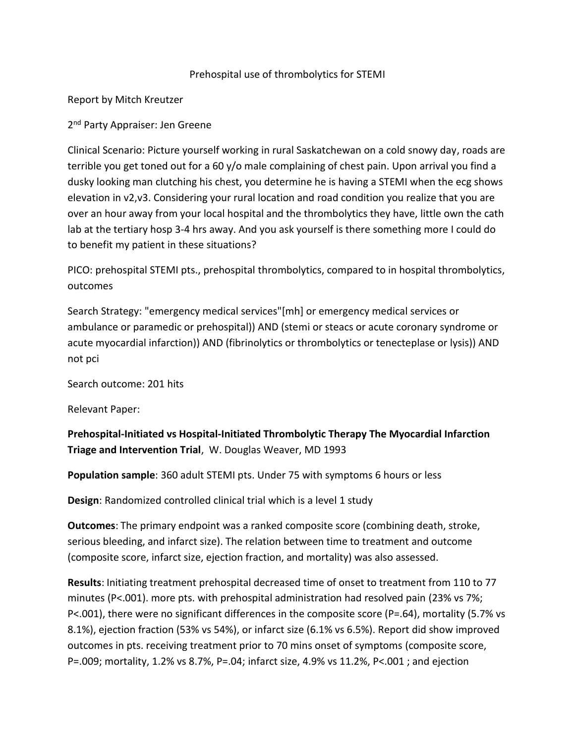## Prehospital use of thrombolytics for STEMI

Report by Mitch Kreutzer

## 2<sup>nd</sup> Party Appraiser: Jen Greene

Clinical Scenario: Picture yourself working in rural Saskatchewan on a cold snowy day, roads are terrible you get toned out for a 60 y/o male complaining of chest pain. Upon arrival you find a dusky looking man clutching his chest, you determine he is having a STEMI when the ecg shows elevation in v2,v3. Considering your rural location and road condition you realize that you are over an hour away from your local hospital and the thrombolytics they have, little own the cath lab at the tertiary hosp 3-4 hrs away. And you ask yourself is there something more I could do to benefit my patient in these situations?

PICO: prehospital STEMI pts., prehospital thrombolytics, compared to in hospital thrombolytics, outcomes

Search Strategy: "emergency medical services"[mh] or emergency medical services or ambulance or paramedic or prehospital)) AND (stemi or steacs or acute coronary syndrome or acute myocardial infarction)) AND (fibrinolytics or thrombolytics or tenecteplase or lysis)) AND not pci

Search outcome: 201 hits

Relevant Paper:

**Prehospital-Initiated vs Hospital-Initiated Thrombolytic Therapy The Myocardial Infarction Triage and Intervention Trial**, W. Douglas Weaver, MD 1993

**Population sample**: 360 adult STEMI pts. Under 75 with symptoms 6 hours or less

**Design**: Randomized controlled clinical trial which is a level 1 study

**Outcomes**: The primary endpoint was a ranked composite score (combining death, stroke, serious bleeding, and infarct size). The relation between time to treatment and outcome (composite score, infarct size, ejection fraction, and mortality) was also assessed.

**Results**: Initiating treatment prehospital decreased time of onset to treatment from 110 to 77 minutes (P<.001). more pts. with prehospital administration had resolved pain (23% vs 7%; P<.001), there were no significant differences in the composite score (P=.64), mortality (5.7% vs 8.1%), ejection fraction (53% vs 54%), or infarct size (6.1% vs 6.5%). Report did show improved outcomes in pts. receiving treatment prior to 70 mins onset of symptoms (composite score, P=.009; mortality, 1.2% vs 8.7%, P=.04; infarct size, 4.9% vs 11.2%, P<.001 ; and ejection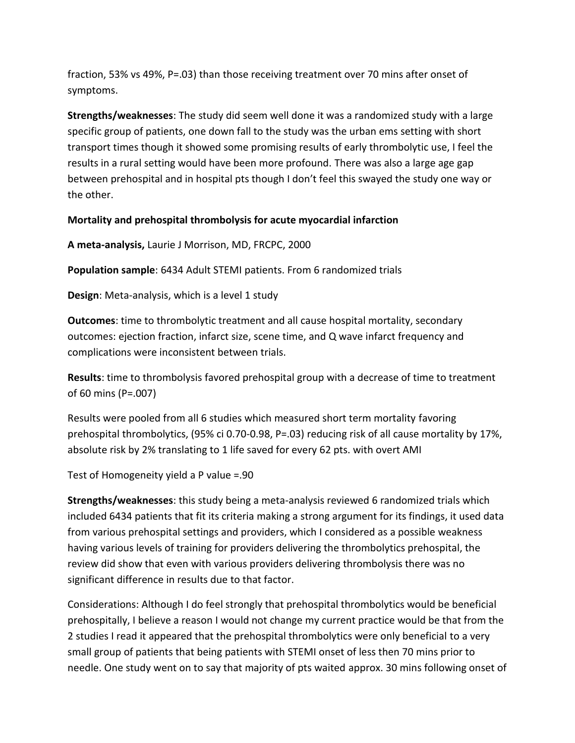fraction, 53% vs 49%, P=.03) than those receiving treatment over 70 mins after onset of symptoms.

**Strengths/weaknesses**: The study did seem well done it was a randomized study with a large specific group of patients, one down fall to the study was the urban ems setting with short transport times though it showed some promising results of early thrombolytic use, I feel the results in a rural setting would have been more profound. There was also a large age gap between prehospital and in hospital pts though I don't feel this swayed the study one way or the other.

## **Mortality and prehospital thrombolysis for acute myocardial infarction**

**A meta-analysis,** Laurie J Morrison, MD, FRCPC, 2000

**Population sample**: 6434 Adult STEMI patients. From 6 randomized trials

**Design**: Meta-analysis, which is a level 1 study

**Outcomes**: time to thrombolytic treatment and all cause hospital mortality, secondary outcomes: ejection fraction, infarct size, scene time, and Q wave infarct frequency and complications were inconsistent between trials.

**Results**: time to thrombolysis favored prehospital group with a decrease of time to treatment of 60 mins (P=.007)

Results were pooled from all 6 studies which measured short term mortality favoring prehospital thrombolytics, (95% ci 0.70-0.98, P=.03) reducing risk of all cause mortality by 17%, absolute risk by 2% translating to 1 life saved for every 62 pts. with overt AMI

Test of Homogeneity yield a P value =.90

**Strengths/weaknesses**: this study being a meta-analysis reviewed 6 randomized trials which included 6434 patients that fit its criteria making a strong argument for its findings, it used data from various prehospital settings and providers, which I considered as a possible weakness having various levels of training for providers delivering the thrombolytics prehospital, the review did show that even with various providers delivering thrombolysis there was no significant difference in results due to that factor.

Considerations: Although I do feel strongly that prehospital thrombolytics would be beneficial prehospitally, I believe a reason I would not change my current practice would be that from the 2 studies I read it appeared that the prehospital thrombolytics were only beneficial to a very small group of patients that being patients with STEMI onset of less then 70 mins prior to needle. One study went on to say that majority of pts waited approx. 30 mins following onset of